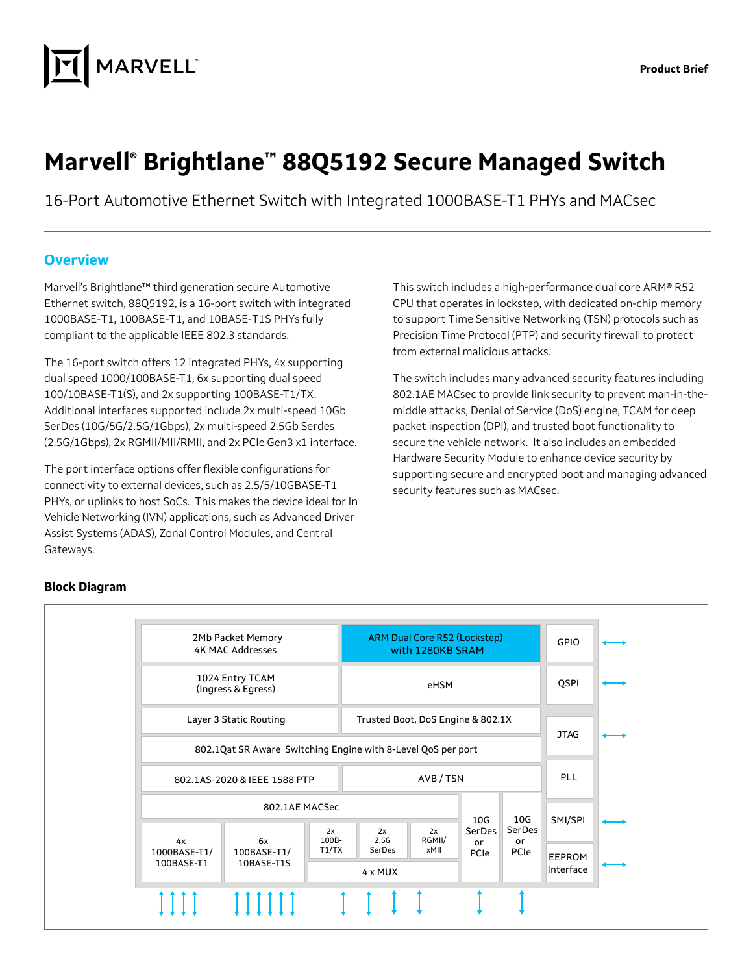

# **Marvell® Brightlane™ 88Q5192 Secure Managed Switch**

16-Port Automotive Ethernet Switch with Integrated 1000BASE-T1 PHYs and MACsec

### **Overview**

Marvell's Brightlane™ third generation secure Automotive Ethernet switch, 88Q5192, is a 16-port switch with integrated 1000BASE-T1, 100BASE-T1, and 10BASE-T1S PHYs fully compliant to the applicable IEEE 802.3 standards.

The 16-port switch offers 12 integrated PHYs, 4x supporting dual speed 1000/100BASE-T1, 6x supporting dual speed 100/10BASE-T1(S), and 2x supporting 100BASE-T1/TX. Additional interfaces supported include 2x multi-speed 10Gb SerDes (10G/5G/2.5G/1Gbps), 2x multi-speed 2.5Gb Serdes (2.5G/1Gbps), 2x RGMII/MII/RMII, and 2x PCIe Gen3 x1 interface.

The port interface options offer flexible configurations for connectivity to external devices, such as 2.5/5/10GBASE-T1 PHYs, or uplinks to host SoCs. This makes the device ideal for In Vehicle Networking (IVN) applications, such as Advanced Driver Assist Systems (ADAS), Zonal Control Modules, and Central Gateways.

This switch includes a high-performance dual core ARM® R52 CPU that operates in lockstep, with dedicated on-chip memory to support Time Sensitive Networking (TSN) protocols such as Precision Time Protocol (PTP) and security firewall to protect from external malicious attacks.

The switch includes many advanced security features including 802.1AE MACsec to provide link security to prevent man-in-themiddle attacks, Denial of Service (DoS) engine, TCAM for deep packet inspection (DPI), and trusted boot functionality to secure the vehicle network. It also includes an embedded Hardware Security Module to enhance device security by supporting secure and encrypted boot and managing advanced security features such as MACsec.



#### **Block Diagram**